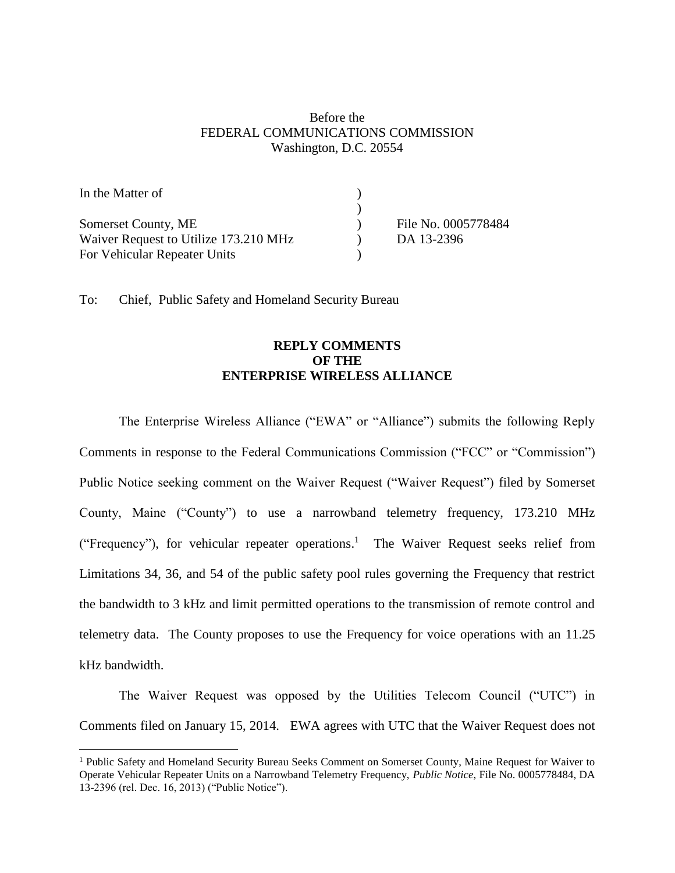### Before the FEDERAL COMMUNICATIONS COMMISSION Washington, D.C. 20554

| In the Matter of                      |                     |
|---------------------------------------|---------------------|
|                                       |                     |
| Somerset County, ME                   | File No. 0005778484 |
| Waiver Request to Utilize 173.210 MHz | DA 13-2396          |
| For Vehicular Repeater Units          |                     |

To: Chief, Public Safety and Homeland Security Bureau

 $\overline{a}$ 

# **REPLY COMMENTS OF THE ENTERPRISE WIRELESS ALLIANCE**

The Enterprise Wireless Alliance ("EWA" or "Alliance") submits the following Reply Comments in response to the Federal Communications Commission ("FCC" or "Commission") Public Notice seeking comment on the Waiver Request ("Waiver Request") filed by Somerset County, Maine ("County") to use a narrowband telemetry frequency, 173.210 MHz ("Frequency"), for vehicular repeater operations.<sup>1</sup> The Waiver Request seeks relief from Limitations 34, 36, and 54 of the public safety pool rules governing the Frequency that restrict the bandwidth to 3 kHz and limit permitted operations to the transmission of remote control and telemetry data. The County proposes to use the Frequency for voice operations with an 11.25 kHz bandwidth.

The Waiver Request was opposed by the Utilities Telecom Council ("UTC") in Comments filed on January 15, 2014. EWA agrees with UTC that the Waiver Request does not

<sup>&</sup>lt;sup>1</sup> Public Safety and Homeland Security Bureau Seeks Comment on Somerset County, Maine Request for Waiver to Operate Vehicular Repeater Units on a Narrowband Telemetry Frequency, *Public Notice*, File No. 0005778484, DA 13-2396 (rel. Dec. 16, 2013) ("Public Notice").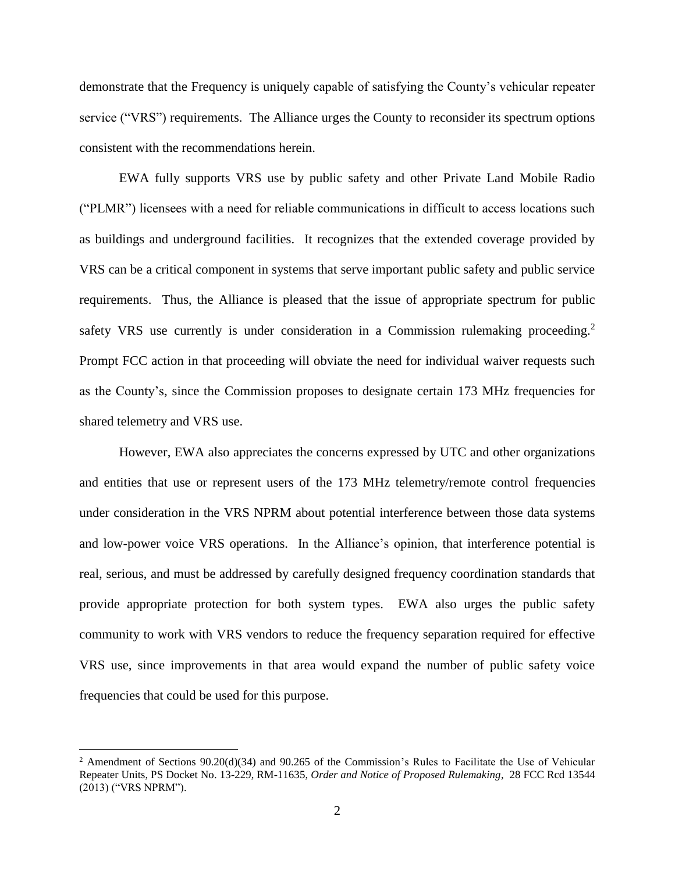demonstrate that the Frequency is uniquely capable of satisfying the County's vehicular repeater service ("VRS") requirements. The Alliance urges the County to reconsider its spectrum options consistent with the recommendations herein.

EWA fully supports VRS use by public safety and other Private Land Mobile Radio ("PLMR") licensees with a need for reliable communications in difficult to access locations such as buildings and underground facilities. It recognizes that the extended coverage provided by VRS can be a critical component in systems that serve important public safety and public service requirements. Thus, the Alliance is pleased that the issue of appropriate spectrum for public safety VRS use currently is under consideration in a Commission rulemaking proceeding.<sup>2</sup> Prompt FCC action in that proceeding will obviate the need for individual waiver requests such as the County's, since the Commission proposes to designate certain 173 MHz frequencies for shared telemetry and VRS use.

However, EWA also appreciates the concerns expressed by UTC and other organizations and entities that use or represent users of the 173 MHz telemetry/remote control frequencies under consideration in the VRS NPRM about potential interference between those data systems and low-power voice VRS operations. In the Alliance's opinion, that interference potential is real, serious, and must be addressed by carefully designed frequency coordination standards that provide appropriate protection for both system types. EWA also urges the public safety community to work with VRS vendors to reduce the frequency separation required for effective VRS use, since improvements in that area would expand the number of public safety voice frequencies that could be used for this purpose.

 $\overline{a}$ 

<sup>2</sup> Amendment of Sections 90.20(d)(34) and 90.265 of the Commission's Rules to Facilitate the Use of Vehicular Repeater Units, PS Docket No. 13-229, RM-11635, *Order and Notice of Proposed Rulemaking*, 28 FCC Rcd 13544 (2013) ("VRS NPRM").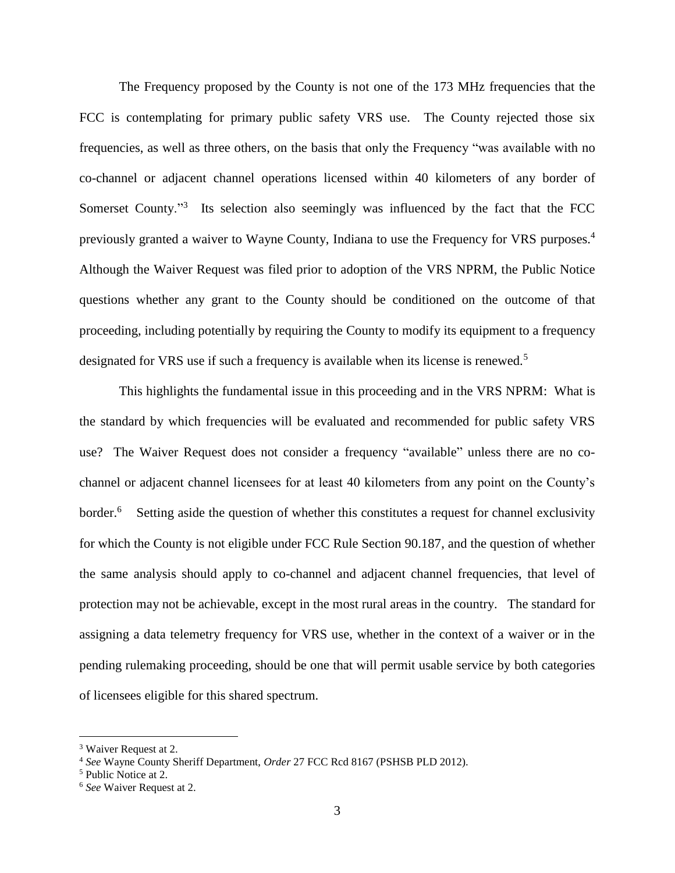The Frequency proposed by the County is not one of the 173 MHz frequencies that the FCC is contemplating for primary public safety VRS use. The County rejected those six frequencies, as well as three others, on the basis that only the Frequency "was available with no co-channel or adjacent channel operations licensed within 40 kilometers of any border of Somerset County."<sup>3</sup> Its selection also seemingly was influenced by the fact that the FCC previously granted a waiver to Wayne County, Indiana to use the Frequency for VRS purposes.<sup>4</sup> Although the Waiver Request was filed prior to adoption of the VRS NPRM, the Public Notice questions whether any grant to the County should be conditioned on the outcome of that proceeding, including potentially by requiring the County to modify its equipment to a frequency designated for VRS use if such a frequency is available when its license is renewed.<sup>5</sup>

This highlights the fundamental issue in this proceeding and in the VRS NPRM: What is the standard by which frequencies will be evaluated and recommended for public safety VRS use? The Waiver Request does not consider a frequency "available" unless there are no cochannel or adjacent channel licensees for at least 40 kilometers from any point on the County's border.<sup>6</sup> Setting aside the question of whether this constitutes a request for channel exclusivity for which the County is not eligible under FCC Rule Section 90.187, and the question of whether the same analysis should apply to co-channel and adjacent channel frequencies, that level of protection may not be achievable, except in the most rural areas in the country. The standard for assigning a data telemetry frequency for VRS use, whether in the context of a waiver or in the pending rulemaking proceeding, should be one that will permit usable service by both categories of licensees eligible for this shared spectrum.

 $\overline{a}$ 

<sup>3</sup> Waiver Request at 2.

<sup>4</sup> *See* Wayne County Sheriff Department, *Order* 27 FCC Rcd 8167 (PSHSB PLD 2012).

<sup>5</sup> Public Notice at 2.

<sup>6</sup> *See* Waiver Request at 2.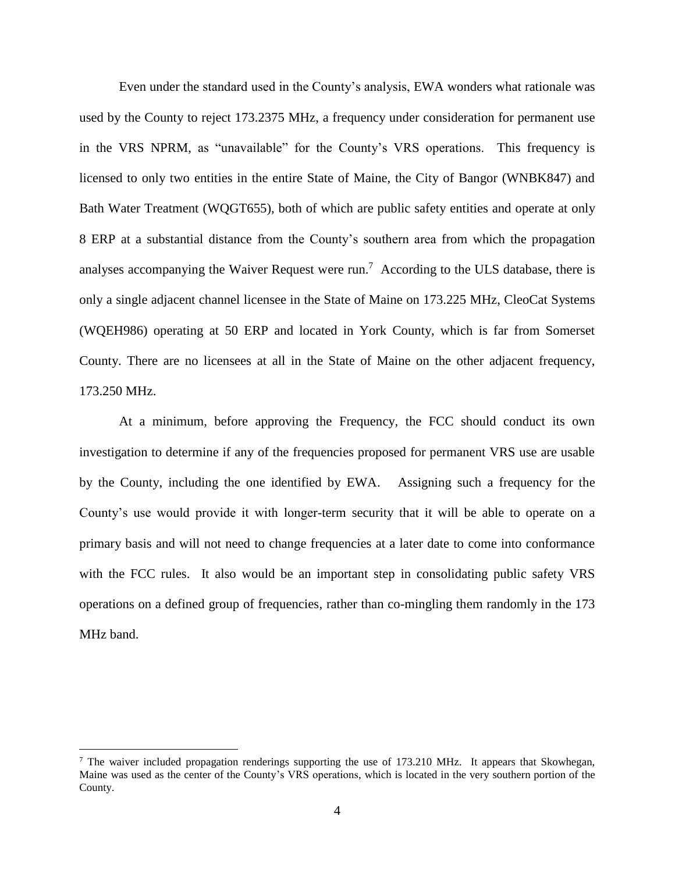Even under the standard used in the County's analysis, EWA wonders what rationale was used by the County to reject 173.2375 MHz, a frequency under consideration for permanent use in the VRS NPRM, as "unavailable" for the County's VRS operations. This frequency is licensed to only two entities in the entire State of Maine, the City of Bangor (WNBK847) and Bath Water Treatment (WQGT655), both of which are public safety entities and operate at only 8 ERP at a substantial distance from the County's southern area from which the propagation analyses accompanying the Waiver Request were run.<sup>7</sup> According to the ULS database, there is only a single adjacent channel licensee in the State of Maine on 173.225 MHz, CleoCat Systems (WQEH986) operating at 50 ERP and located in York County, which is far from Somerset County. There are no licensees at all in the State of Maine on the other adjacent frequency, 173.250 MHz.

At a minimum, before approving the Frequency, the FCC should conduct its own investigation to determine if any of the frequencies proposed for permanent VRS use are usable by the County, including the one identified by EWA. Assigning such a frequency for the County's use would provide it with longer-term security that it will be able to operate on a primary basis and will not need to change frequencies at a later date to come into conformance with the FCC rules. It also would be an important step in consolidating public safety VRS operations on a defined group of frequencies, rather than co-mingling them randomly in the 173 MHz band.

 $\overline{a}$ 

<sup>&</sup>lt;sup>7</sup> The waiver included propagation renderings supporting the use of 173.210 MHz. It appears that Skowhegan, Maine was used as the center of the County's VRS operations, which is located in the very southern portion of the County.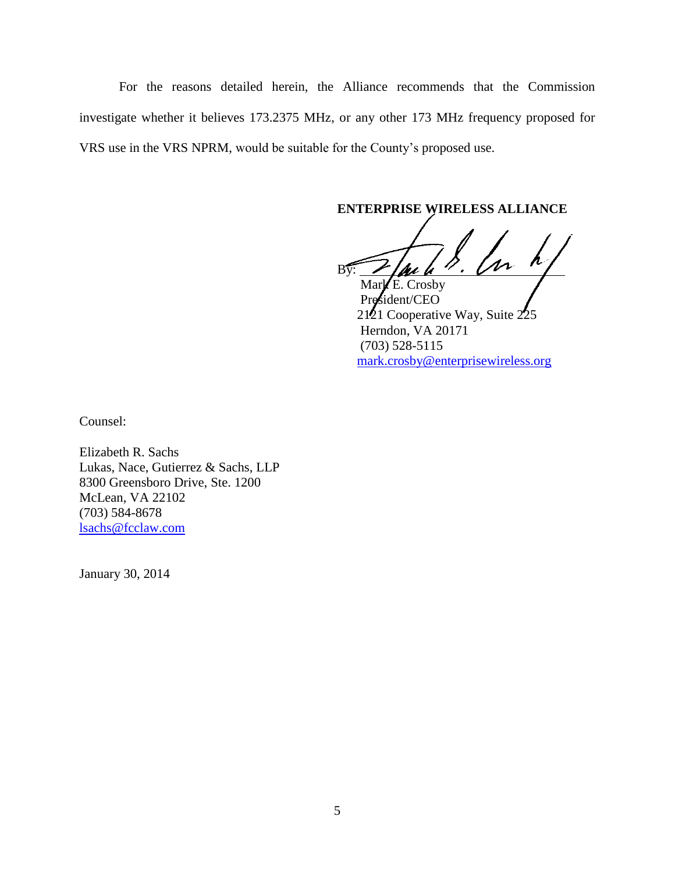For the reasons detailed herein, the Alliance recommends that the Commission investigate whether it believes 173.2375 MHz, or any other 173 MHz frequency proposed for VRS use in the VRS NPRM, would be suitable for the County's proposed use.

**ENTERPRISE WIRELESS ALLIANCE**

 $By: 100 h$ 

Mar $\angle$ E. Crosby President/CEO 2121 Cooperative Way, Suite  $225$ Herndon, VA 20171 (703) 528-5115 [mark.crosby@enterprisewireless.org](mailto:mark.crosby@enterprisewireless.org)

Counsel:

Elizabeth R. Sachs Lukas, Nace, Gutierrez & Sachs, LLP 8300 Greensboro Drive, Ste. 1200 McLean, VA 22102 (703) 584-8678 [lsachs@fcclaw.com](mailto:lsachs@fcclaw.com)

January 30, 2014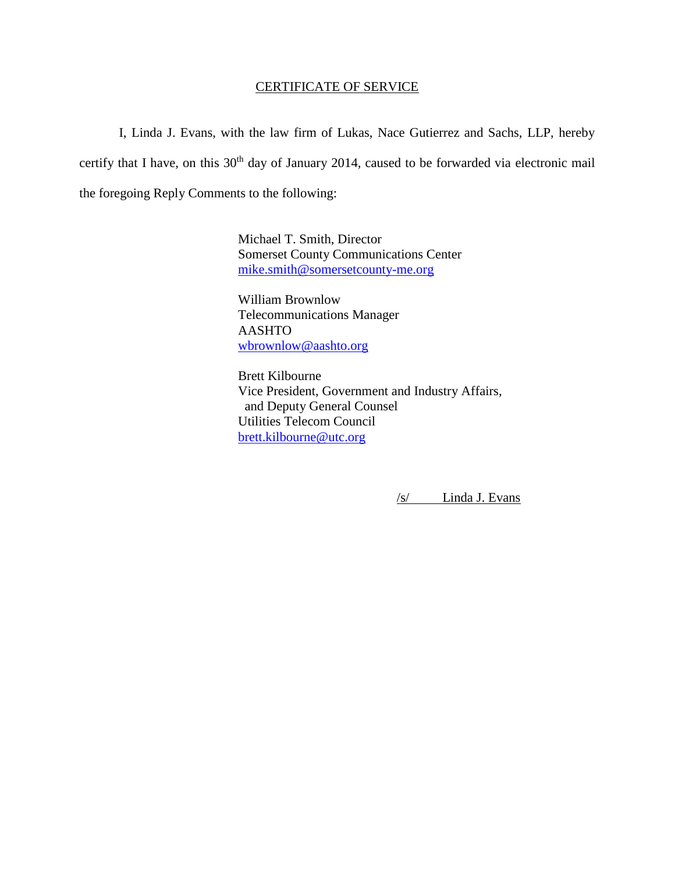# CERTIFICATE OF SERVICE

I, Linda J. Evans, with the law firm of Lukas, Nace Gutierrez and Sachs, LLP, hereby certify that I have, on this  $30<sup>th</sup>$  day of January 2014, caused to be forwarded via electronic mail the foregoing Reply Comments to the following:

> Michael T. Smith, Director Somerset County Communications Center [mike.smith@somersetcounty-me.org](mailto:mike.smith@somersetcounty-me.org)

William Brownlow Telecommunications Manager AASHTO [wbrownlow@aashto.org](mailto:wbrownlow@aashto.org)

Brett Kilbourne Vice President, Government and Industry Affairs, and Deputy General Counsel Utilities Telecom Council [brett.kilbourne@utc.org](mailto:brett.kilbourne@utc.org)

/s/ Linda J. Evans